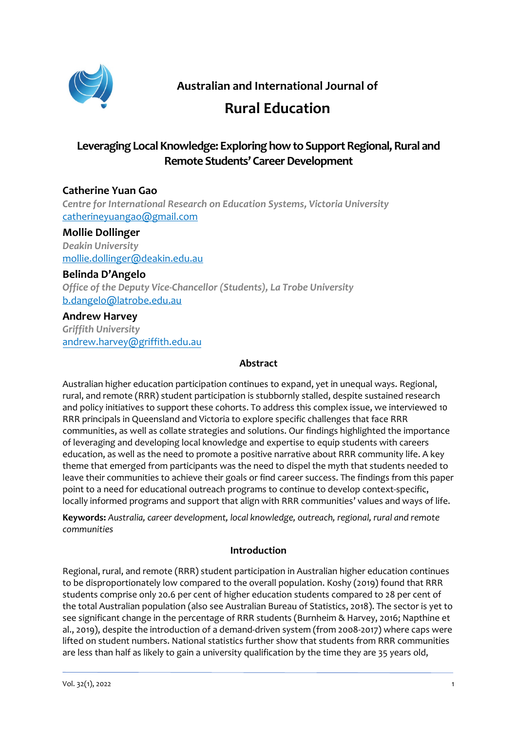

**Australian and International Journal of**

# **Rural Education**

# **Leveraging Local Knowledge: Exploring how to Support Regional, Rural and Remote Students' Career Development**

## **Catherine Yuan Gao**

*Centre for International Research on Education Systems, Victoria University* [catherineyuangao@gmail.com](mailto:catherineyuangao@gmail.com)

### **Mollie Dollinger**

*Deakin University* mollie.dollinger@deakin.edu.au

#### **Belinda D'Angelo**

*Office of the Deputy Vice-Chancellor (Students), La Trobe University* [b.dangelo@latrobe.edu.au](mailto:b.dangelo@latrobe.edu.au)

#### **Andrew Harvey**

*Griffith University* andrew.harvey@griffith.edu.au

#### **Abstract**

Australian higher education participation continues to expand, yet in unequal ways. Regional, rural, and remote (RRR) student participation is stubbornly stalled, despite sustained research and policy initiatives to support these cohorts. To address this complex issue, we interviewed 10 RRR principals in Queensland and Victoria to explore specific challenges that face RRR communities, as well as collate strategies and solutions. Our findings highlighted the importance of leveraging and developing local knowledge and expertise to equip students with careers education, as well as the need to promote a positive narrative about RRR community life. A key theme that emerged from participants was the need to dispel the myth that students needed to leave their communities to achieve their goals or find career success. The findings from this paper point to a need for educational outreach programs to continue to develop context-specific, locally informed programs and support that align with RRR communities' values and ways of life.

**Keywords:** *Australia, career development, local knowledge, outreach, regional, rural and remote communities*

#### **Introduction**

Regional, rural, and remote (RRR) student participation in Australian higher education continues to be disproportionately low compared to the overall population. Koshy (2019) found that RRR students comprise only 20.6 per cent of higher education students compared to 28 per cent of the total Australian population (also see Australian Bureau of Statistics, 2018). The sector is yet to see significant change in the percentage of RRR students (Burnheim & Harvey, 2016; Napthine et al., 2019), despite the introduction of a demand-driven system (from 2008-2017) where caps were lifted on student numbers. National statistics further show that students from RRR communities are less than half as likely to gain a university qualification by the time they are 35 years old,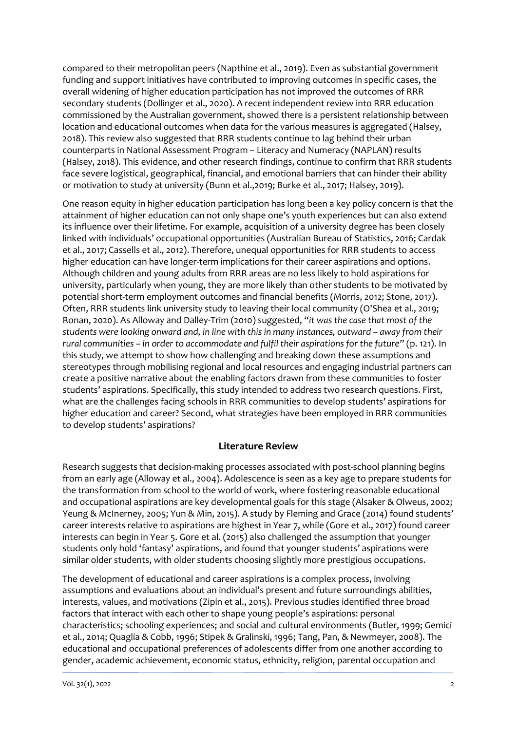compared to their metropolitan peers (Napthine et al., 2019). Even as substantial government funding and support initiatives have contributed to improving outcomes in specific cases, the overall widening of higher education participation has not improved the outcomes of RRR secondary students (Dollinger et al., 2020). A recent independent review into RRR education commissioned by the Australian government, showed there is a persistent relationship between location and educational outcomes when data for the various measures is aggregated (Halsey, 2018). This review also suggested that RRR students continue to lag behind their urban counterparts in National Assessment Program – Literacy and Numeracy (NAPLAN) results (Halsey, 2018). This evidence, and other research findings, continue to confirm that RRR students face severe logistical, geographical, financial, and emotional barriers that can hinder their ability or motivation to study at university (Bunn et al.,2019; Burke et al., 2017; Halsey, 2019).

One reason equity in higher education participation has long been a key policy concern is that the attainment of higher education can not only shape one's youth experiences but can also extend its influence over their lifetime. For example, acquisition of a university degree has been closely linked with individuals' occupational opportunities (Australian Bureau of Statistics, 2016; Cardak et al., 2017; Cassells et al., 2012). Therefore, unequal opportunities for RRR students to access higher education can have longer-term implications for their career aspirations and options. Although children and young adults from RRR areas are no less likely to hold aspirations for university, particularly when young, they are more likely than other students to be motivated by potential short-term employment outcomes and financial benefits (Morris, 2012; Stone, 2017). Often, RRR students link university study to leaving their local community (O'Shea et al., 2019; Ronan, 2020). As Alloway and Dalley-Trim (2010) suggested, "*it was the case that most of the students were looking onward and, in line with this in many instances, outward – away from their rural communities – in order to accommodate and fulfil their aspirations for the future"* (p. 121). In this study, we attempt to show how challenging and breaking down these assumptions and stereotypes through mobilising regional and local resources and engaging industrial partners can create a positive narrative about the enabling factors drawn from these communities to foster students' aspirations. Specifically, this study intended to address two research questions. First, what are the challenges facing schools in RRR communities to develop students' aspirations for higher education and career? Second, what strategies have been employed in RRR communities to develop students' aspirations?

#### **Literature Review**

Research suggests that decision-making processes associated with post-school planning begins from an early age (Alloway et al., 2004). Adolescence is seen as a key age to prepare students for the transformation from school to the world of work, where fostering reasonable educational and occupational aspirations are key developmental goals for this stage (Alsaker & Olweus, 2002; Yeung & McInerney, 2005; Yun & Min, 2015). A study by Fleming and Grace (2014) found students' career interests relative to aspirations are highest in Year 7, while (Gore et al., 2017) found career interests can begin in Year 5. Gore et al. (2015) also challenged the assumption that younger students only hold 'fantasy' aspirations, and found that younger students' aspirations were similar older students, with older students choosing slightly more prestigious occupations.

The development of educational and career aspirations is a complex process, involving assumptions and evaluations about an individual's present and future surroundings abilities, interests, values, and motivations (Zipin et al., 2015). Previous studies identified three broad factors that interact with each other to shape young people's aspirations: personal characteristics; schooling experiences; and social and cultural environments (Butler, 1999; Gemici et al., 2014; Quaglia & Cobb, 1996; Stipek & Gralinski, 1996; Tang, Pan, & Newmeyer, 2008). The educational and occupational preferences of adolescents differ from one another according to gender, academic achievement, economic status, ethnicity, religion, parental occupation and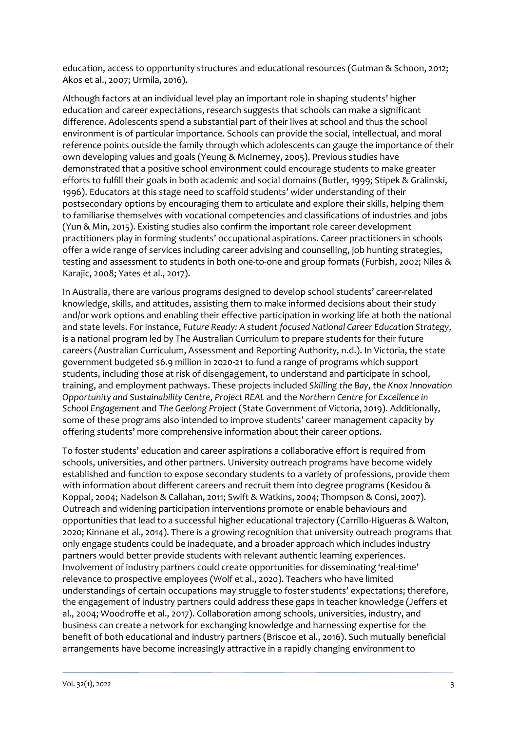education, access to opportunity structures and educational resources (Gutman & Schoon, 2012; Akos et al., 2007; Urmila, 2016).

Although factors at an individual level play an important role in shaping students' higher education and career expectations, research suggests that schools can make a significant difference. Adolescents spend a substantial part of their lives at school and thus the school environment is of particular importance. Schools can provide the social, intellectual, and moral reference points outside the family through which adolescents can gauge the importance of their own developing values and goals (Yeung & McInerney, 2005). Previous studies have demonstrated that a positive school environment could encourage students to make greater efforts to fulfill their goals in both academic and social domains (Butler, 1999; Stipek & Gralinski, 1996). Educators at this stage need to scaffold students' wider understanding of their postsecondary options by encouraging them to articulate and explore their skills, helping them to familiarise themselves with vocational competencies and classifications of industries and jobs (Yun & Min, 2015). Existing studies also confirm the important role career development practitioners play in forming students' occupational aspirations. Career practitioners in schools offer a wide range of services including career advising and counselling, job hunting strategies, testing and assessment to students in both one-to-one and group formats (Furbish, 2002; Niles & Karajic, 2008; Yates et al., 2017).

In Australia, there are various programs designed to develop school students' career-related knowledge, skills, and attitudes, assisting them to make informed decisions about their study and/or work options and enabling their effective participation in working life at both the national and state levels. For instance, *Future Ready: A student focused National Career Education Strategy*, is a national program led by The Australian Curriculum to prepare students for their future careers (Australian Curriculum, Assessment and Reporting Authority, n.d.). In Victoria, the state government budgeted \$6.9 million in 2020-21 to fund a range of programs which support students, including those at risk of disengagement, to understand and participate in school, training, and employment pathways. These projects included *Skilling the Bay*, *the Knox Innovation Opportunity and Sustainability Centre*, *Project REAL* and the *Northern Centre for Excellence in School Engagement* and *The Geelong Project* (State Government of Victoria, 2019). Additionally, some of these programs also intended to improve students' career management capacity by offering students' more comprehensive information about their career options.

To foster students' education and career aspirations a collaborative effort is required from schools, universities, and other partners. University outreach programs have become widely established and function to expose secondary students to a variety of professions, provide them with information about different careers and recruit them into degree programs (Kesidou & Koppal, 2004; Nadelson & Callahan, 2011; Swift & Watkins, 2004; Thompson & Consi, 2007). Outreach and widening participation interventions promote or enable behaviours and opportunities that lead to a successful higher educational trajectory (Carrillo-Higueras & Walton, 2020; Kinnane et al., 2014). There is a growing recognition that university outreach programs that only engage students could be inadequate, and a broader approach which includes industry partners would better provide students with relevant authentic learning experiences. Involvement of industry partners could create opportunities for disseminating 'real-time' relevance to prospective employees (Wolf et al., 2020). Teachers who have limited understandings of certain occupations may struggle to foster students' expectations; therefore, the engagement of industry partners could address these gaps in teacher knowledge (Jeffers et al., 2004; Woodroffe et al., 2017). Collaboration among schools, universities, industry, and business can create a network for exchanging knowledge and harnessing expertise for the benefit of both educational and industry partners (Briscoe et al., 2016). Such mutually beneficial arrangements have become increasingly attractive in a rapidly changing environment to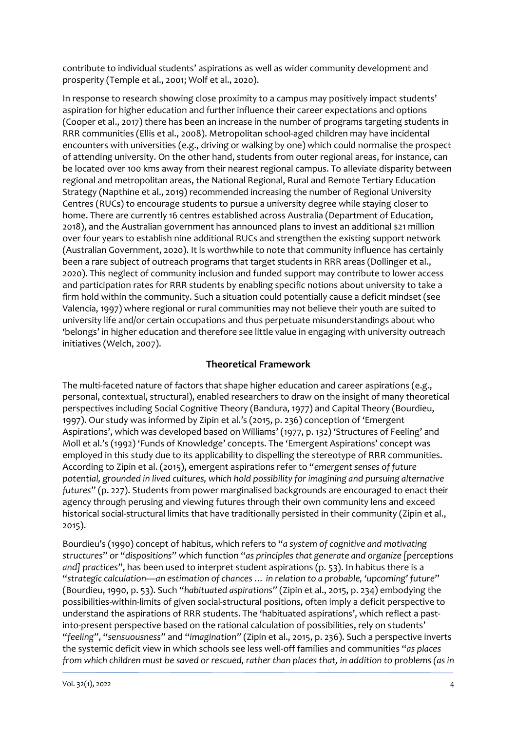contribute to individual students' aspirations as well as wider community development and prosperity (Temple et al., 2001; Wolf et al., 2020).

In response to research showing close proximity to a campus may positively impact students' aspiration for higher education and further influence their career expectations and options (Cooper et al., 2017) there has been an increase in the number of programs targeting students in RRR communities (Ellis et al., 2008). Metropolitan school-aged children may have incidental encounters with universities (e.g., driving or walking by one) which could normalise the prospect of attending university. On the other hand, students from outer regional areas, for instance, can be located over 100 kms away from their nearest regional campus. To alleviate disparity between regional and metropolitan areas, the National Regional, Rural and Remote Tertiary Education Strategy (Napthine et al., 2019) recommended increasing the number of Regional University Centres (RUCs) to encourage students to pursue a university degree while staying closer to home. There are currently 16 centres established across Australia (Department of Education, 2018), and the Australian government has announced plans to invest an additional \$21 million over four years to establish nine additional RUCs and strengthen the existing support network (Australian Government, 2020). It is worthwhile to note that community influence has certainly been a rare subject of outreach programs that target students in RRR areas (Dollinger et al., 2020). This neglect of community inclusion and funded support may contribute to lower access and participation rates for RRR students by enabling specific notions about university to take a firm hold within the community. Such a situation could potentially cause a deficit mindset (see Valencia, 1997) where regional or rural communities may not believe their youth are suited to university life and/or certain occupations and thus perpetuate misunderstandings about who 'belongs' in higher education and therefore see little value in engaging with university outreach initiatives (Welch, 2007).

#### **Theoretical Framework**

The multi-faceted nature of factors that shape higher education and career aspirations (e.g., personal, contextual, structural), enabled researchers to draw on the insight of many theoretical perspectives including Social Cognitive Theory (Bandura, 1977) and Capital Theory (Bourdieu, 1997). Our study was informed by Zipin et al.'s (2015, p. 236) conception of 'Emergent Aspirations', which was developed based on Williams' (1977, p. 132) 'Structures of Feeling' and Moll et al.'s (1992) 'Funds of Knowledge' concepts. The 'Emergent Aspirations' concept was employed in this study due to its applicability to dispelling the stereotype of RRR communities. According to Zipin et al. (2015), emergent aspirations refer to "*emergent senses of future potential, grounded in lived cultures, which hold possibility for imagining and pursuing alternative futures*" (p. 227). Students from power marginalised backgrounds are encouraged to enact their agency through perusing and viewing futures through their own community lens and exceed historical social-structural limits that have traditionally persisted in their community (Zipin et al., 2015).

Bourdieu's (1990) concept of habitus, which refers to "*a system of cognitive and motivating structures*" or "*dispositions*" which function "*as principles that generate and organize [perceptions and] practices*", has been used to interpret student aspirations (p. 53). In habitus there is a "*strategic calculation—an estimation of chances … in relation to a probable, 'upcoming' future*" (Bourdieu, 1990, p. 53). Such "*habituated aspirations"* (Zipin et al., 2015, p. 234) embodying the possibilities-within-limits of given social-structural positions, often imply a deficit perspective to understand the aspirations of RRR students. The 'habituated aspirations', which reflect a pastinto-present perspective based on the rational calculation of possibilities, rely on students' "*feeling"*, "*sensuousness"* and "*imagination"* (Zipin et al., 2015, p. 236). Such a perspective inverts the systemic deficit view in which schools see less well-off families and communities "*as places from which children must be saved or rescued, rather than places that, in addition to problems (as in*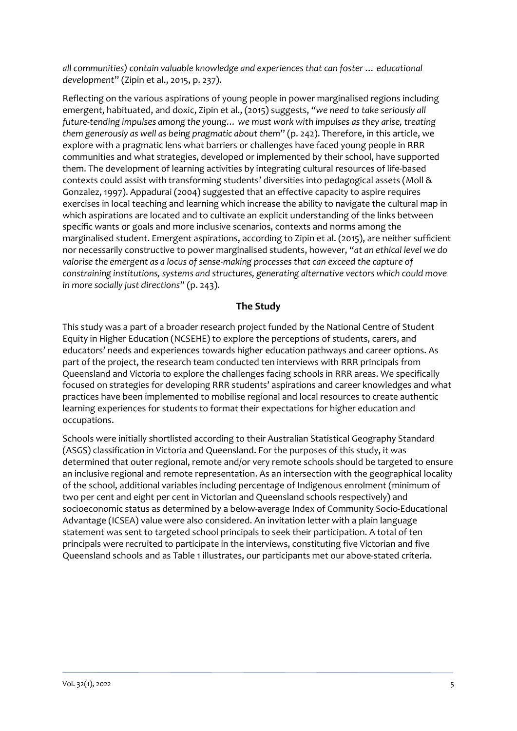*all communities) contain valuable knowledge and experiences that can foster … educational development*" (Zipin et al., 2015, p. 237).

Reflecting on the various aspirations of young people in power marginalised regions including emergent, habituated, and doxic, Zipin et al., (2015) suggests, "*we need to take seriously all future-tending impulses among the young… we must work with impulses as they arise, treating them generously as well as being pragmatic about them*" (p. 242). Therefore, in this article, we explore with a pragmatic lens what barriers or challenges have faced young people in RRR communities and what strategies, developed or implemented by their school, have supported them. The development of learning activities by integrating cultural resources of life-based contexts could assist with transforming students' diversities into pedagogical assets (Moll & Gonzalez, 1997). Appadurai (2004) suggested that an effective capacity to aspire requires exercises in local teaching and learning which increase the ability to navigate the cultural map in which aspirations are located and to cultivate an explicit understanding of the links between specific wants or goals and more inclusive scenarios, contexts and norms among the marginalised student. Emergent aspirations, according to Zipin et al. (2015), are neither sufficient nor necessarily constructive to power marginalised students, however, "*at an ethical level we do valorise the emergent as a locus of sense-making processes that can exceed the capture of constraining institutions, systems and structures, generating alternative vectors which could move in more socially just directions"* (p. 243).

#### **The Study**

This study was a part of a broader research project funded by the National Centre of Student Equity in Higher Education (NCSEHE) to explore the perceptions of students, carers, and educators' needs and experiences towards higher education pathways and career options. As part of the project, the research team conducted ten interviews with RRR principals from Queensland and Victoria to explore the challenges facing schools in RRR areas. We specifically focused on strategies for developing RRR students' aspirations and career knowledges and what practices have been implemented to mobilise regional and local resources to create authentic learning experiences for students to format their expectations for higher education and occupations.

Schools were initially shortlisted according to their Australian Statistical Geography Standard (ASGS) classification in Victoria and Queensland. For the purposes of this study, it was determined that outer regional, remote and/or very remote schools should be targeted to ensure an inclusive regional and remote representation. As an intersection with the geographical locality of the school, additional variables including percentage of Indigenous enrolment (minimum of two per cent and eight per cent in Victorian and Queensland schools respectively) and socioeconomic status as determined by a below-average Index of Community Socio-Educational Advantage (ICSEA) value were also considered. An invitation letter with a plain language statement was sent to targeted school principals to seek their participation. A total of ten principals were recruited to participate in the interviews, constituting five Victorian and five Queensland schools and as Table 1 illustrates, our participants met our above-stated criteria.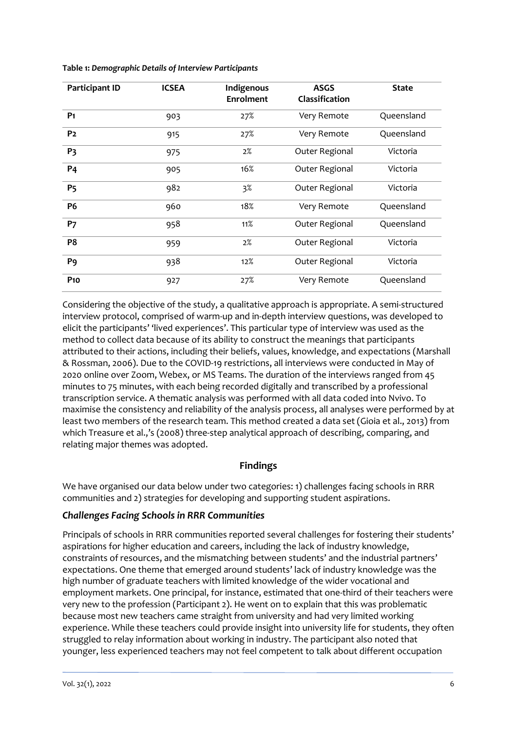| <b>Participant ID</b> | <b>ICSEA</b> | Indigenous<br><b>Enrolment</b> | <b>ASGS</b><br>Classification | <b>State</b> |
|-----------------------|--------------|--------------------------------|-------------------------------|--------------|
| P <sub>1</sub>        | 903          | 27%                            | Very Remote                   | Queensland   |
| P <sub>2</sub>        | 915          | 27%                            | Very Remote                   | Queensland   |
| P <sub>3</sub>        | 975          | $2\%$                          | Outer Regional                | Victoria     |
| <b>P4</b>             | 905          | 16%                            | Outer Regional                | Victoria     |
| <b>P<sub>5</sub></b>  | 982          | $3\%$                          | Outer Regional                | Victoria     |
| <b>P6</b>             | 960          | 18%                            | Very Remote                   | Queensland   |
| <b>P7</b>             | 958          | 11%                            | Outer Regional                | Queensland   |
| P <sub>8</sub>        | 959          | 2%                             | Outer Regional                | Victoria     |
| P <sub>9</sub>        | 938          | 12%                            | Outer Regional                | Victoria     |
| <b>P10</b>            | 927          | 27%                            | Very Remote                   | Queensland   |

**Table 1:** *Demographic Details of Interview Participants*

Considering the objective of the study, a qualitative approach is appropriate. A semi-structured interview protocol, comprised of warm-up and in-depth interview questions, was developed to elicit the participants' 'lived experiences'. This particular type of interview was used as the method to collect data because of its ability to construct the meanings that participants attributed to their actions, including their beliefs, values, knowledge, and expectations (Marshall & Rossman, 2006). Due to the COVID-19 restrictions, all interviews were conducted in May of 2020 online over Zoom, Webex, or MS Teams. The duration of the interviews ranged from 45 minutes to 75 minutes, with each being recorded digitally and transcribed by a professional transcription service. A thematic analysis was performed with all data coded into Nvivo. To maximise the consistency and reliability of the analysis process, all analyses were performed by at least two members of the research team. This method created a data set (Gioia et al., 2013) from which Treasure et al.,'s (2008) three-step analytical approach of describing, comparing, and relating major themes was adopted.

#### **Findings**

We have organised our data below under two categories: 1) challenges facing schools in RRR communities and 2) strategies for developing and supporting student aspirations.

#### *Challenges Facing Schools in RRR Communities*

Principals of schools in RRR communities reported several challenges for fostering their students' aspirations for higher education and careers, including the lack of industry knowledge, constraints of resources, and the mismatching between students' and the industrial partners' expectations. One theme that emerged around students' lack of industry knowledge was the high number of graduate teachers with limited knowledge of the wider vocational and employment markets. One principal, for instance, estimated that one-third of their teachers were very new to the profession (Participant 2). He went on to explain that this was problematic because most new teachers came straight from university and had very limited working experience. While these teachers could provide insight into university life for students, they often struggled to relay information about working in industry. The participant also noted that younger, less experienced teachers may not feel competent to talk about different occupation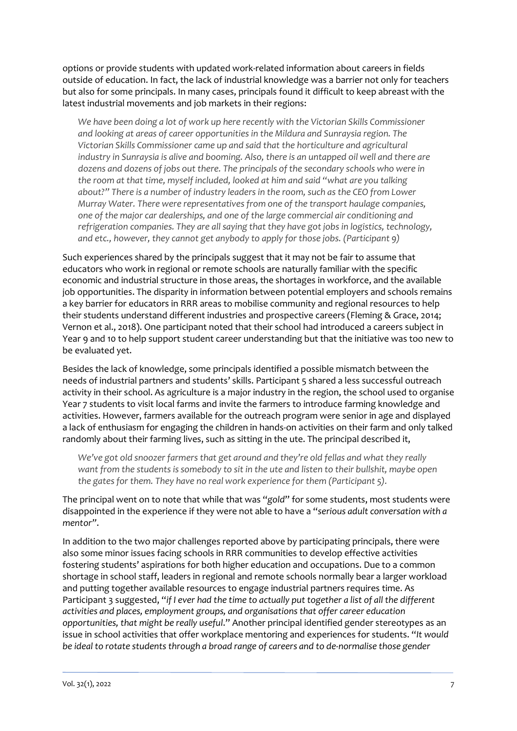options or provide students with updated work-related information about careers in fields outside of education. In fact, the lack of industrial knowledge was a barrier not only for teachers but also for some principals. In many cases, principals found it difficult to keep abreast with the latest industrial movements and job markets in their regions:

*We have been doing a lot of work up here recently with the Victorian Skills Commissioner and looking at areas of career opportunities in the Mildura and Sunraysia region. The Victorian Skills Commissioner came up and said that the horticulture and agricultural industry in Sunraysia is alive and booming. Also, there is an untapped oil well and there are dozens and dozens of jobs out there. The principals of the secondary schools who were in the room at that time, myself included, looked at him and said "what are you talking about?" There is a number of industry leaders in the room, such as the CEO from Lower Murray Water. There were representatives from one of the transport haulage companies, one of the major car dealerships, and one of the large commercial air conditioning and refrigeration companies. They are all saying that they have got jobs in logistics, technology, and etc., however, they cannot get anybody to apply for those jobs. (Participant 9)*

Such experiences shared by the principals suggest that it may not be fair to assume that educators who work in regional or remote schools are naturally familiar with the specific economic and industrial structure in those areas, the shortages in workforce, and the available job opportunities. The disparity in information between potential employers and schools remains a key barrier for educators in RRR areas to mobilise community and regional resources to help their students understand different industries and prospective careers (Fleming & Grace, 2014; Vernon et al., 2018). One participant noted that their school had introduced a careers subject in Year 9 and 10 to help support student career understanding but that the initiative was too new to be evaluated yet.

Besides the lack of knowledge, some principals identified a possible mismatch between the needs of industrial partners and students' skills. Participant 5 shared a less successful outreach activity in their school. As agriculture is a major industry in the region, the school used to organise Year 7 students to visit local farms and invite the farmers to introduce farming knowledge and activities. However, farmers available for the outreach program were senior in age and displayed a lack of enthusiasm for engaging the children in hands-on activities on their farm and only talked randomly about their farming lives, such as sitting in the ute. The principal described it,

*We've got old snoozer farmers that get around and they're old fellas and what they really want from the students is somebody to sit in the ute and listen to their bullshit, maybe open the gates for them. They have no real work experience for them (Participant 5).* 

The principal went on to note that while that was "*gold*" for some students, most students were disappointed in the experience if they were not able to have a "*serious adult conversation with a mentor"*.

In addition to the two major challenges reported above by participating principals, there were also some minor issues facing schools in RRR communities to develop effective activities fostering students' aspirations for both higher education and occupations. Due to a common shortage in school staff, leaders in regional and remote schools normally bear a larger workload and putting together available resources to engage industrial partners requires time. As Participant 3 suggested, "*if I ever had the time to actually put together a list of all the different activities and places, employment groups, and organisations that offer career education opportunities, that might be really useful*." Another principal identified gender stereotypes as an issue in school activities that offer workplace mentoring and experiences for students. "*It would be ideal to rotate students through a broad range of careers and to de-normalise those gender*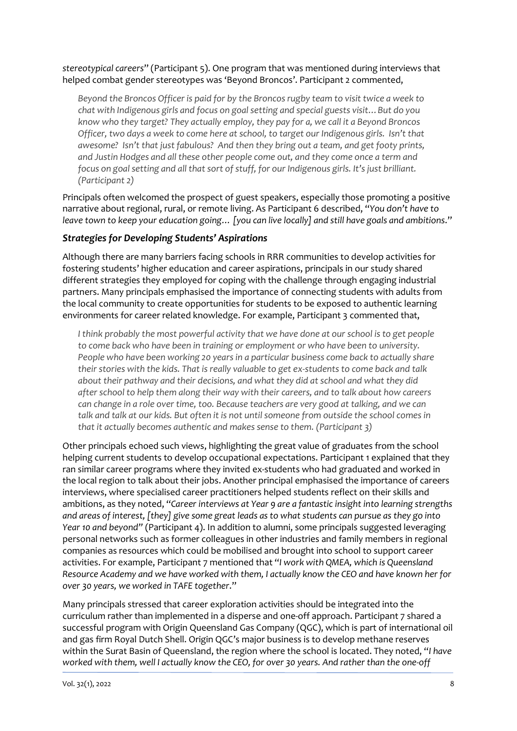*stereotypical careers*" (Participant 5). One program that was mentioned during interviews that helped combat gender stereotypes was 'Beyond Broncos'. Participant 2 commented,

*Beyond the Broncos Officer is paid for by the Broncos rugby team to visit twice a week to chat with Indigenous girls and focus on goal setting and special guests visit…But do you know who they target? They actually employ, they pay for a, we call it a Beyond Broncos Officer, two days a week to come here at school, to target our Indigenous girls. Isn't that awesome? Isn't that just fabulous? And then they bring out a team, and get footy prints, and Justin Hodges and all these other people come out, and they come once a term and focus on goal setting and all that sort of stuff, for our Indigenous girls. It's just brilliant. (Participant 2)*

Principals often welcomed the prospect of guest speakers, especially those promoting a positive narrative about regional, rural, or remote living. As Participant 6 described, "*You don't have to leave town to keep your education going… [you can live locally] and still have goals and ambitions*."

#### *Strategies for Developing Students' Aspirations*

Although there are many barriers facing schools in RRR communities to develop activities for fostering students' higher education and career aspirations, principals in our study shared different strategies they employed for coping with the challenge through engaging industrial partners. Many principals emphasised the importance of connecting students with adults from the local community to create opportunities for students to be exposed to authentic learning environments for career related knowledge. For example, Participant 3 commented that,

*I think probably the most powerful activity that we have done at our school is to get people to come back who have been in training or employment or who have been to university. People who have been working 20 years in a particular business come back to actually share their stories with the kids. That is really valuable to get ex-students to come back and talk about their pathway and their decisions, and what they did at school and what they did after school to help them along their way with their careers, and to talk about how careers can change in a role over time, too. Because teachers are very good at talking, and we can talk and talk at our kids. But often it is not until someone from outside the school comes in that it actually becomes authentic and makes sense to them. (Participant 3)*

Other principals echoed such views, highlighting the great value of graduates from the school helping current students to develop occupational expectations. Participant 1 explained that they ran similar career programs where they invited ex-students who had graduated and worked in the local region to talk about their jobs. Another principal emphasised the importance of careers interviews, where specialised career practitioners helped students reflect on their skills and ambitions, as they noted, "*Career interviews at Year 9 are a fantastic insight into learning strengths and areas of interest, [they] give some great leads as to what students can pursue as they go into Year 10 and beyond"* (Participant 4). In addition to alumni, some principals suggested leveraging personal networks such as former colleagues in other industries and family members in regional companies as resources which could be mobilised and brought into school to support career activities. For example, Participant 7 mentioned that "*I work with QMEA, which is Queensland Resource Academy and we have worked with them, I actually know the CEO and have known her for over 30 years, we worked in TAFE together*."

Many principals stressed that career exploration activities should be integrated into the curriculum rather than implemented in a disperse and one-off approach. Participant 7 shared a successful program with Origin Queensland Gas Company (QGC), which is part of international oil and gas firm Royal Dutch Shell. Origin QGC's major business is to develop methane reserves within the Surat Basin of Queensland, the region where the school is located. They noted, "*I have worked with them, well I actually know the CEO, for over 30 years. And rather than the one-off*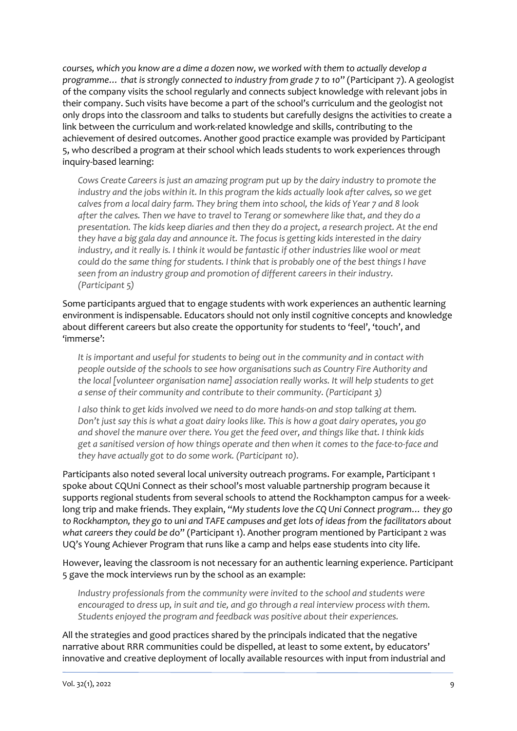*courses, which you know are a dime a dozen now, we worked with them to actually develop a programme… that is strongly connected to industry from grade 7 to 10*" (Participant 7). A geologist of the company visits the school regularly and connects subject knowledge with relevant jobs in their company. Such visits have become a part of the school's curriculum and the geologist not only drops into the classroom and talks to students but carefully designs the activities to create a link between the curriculum and work-related knowledge and skills, contributing to the achievement of desired outcomes. Another good practice example was provided by Participant 5, who described a program at their school which leads students to work experiences through inquiry-based learning:

*Cows Create Careers is just an amazing program put up by the dairy industry to promote the industry and the jobs within it. In this program the kids actually look after calves, so we get calves from a local dairy farm. They bring them into school, the kids of Year 7 and 8 look after the calves. Then we have to travel to Terang or somewhere like that, and they do a presentation. The kids keep diaries and then they do a project, a research project. At the end they have a big gala day and announce it. The focus is getting kids interested in the dairy industry, and it really is. I think it would be fantastic if other industries like wool or meat could do the same thing for students. I think that is probably one of the best things I have seen from an industry group and promotion of different careers in their industry. (Participant 5)*

Some participants argued that to engage students with work experiences an authentic learning environment is indispensable. Educators should not only instil cognitive concepts and knowledge about different careers but also create the opportunity for students to 'feel', 'touch', and 'immerse':

*It is important and useful for students to being out in the community and in contact with people outside of the schools to see how organisations such as Country Fire Authority and the local [volunteer organisation name] association really works. It will help students to get a sense of their community and contribute to their community. (Participant 3)*

*I also think to get kids involved we need to do more hands-on and stop talking at them. Don't just say this is what a goat dairy looks like. This is how a goat dairy operates, you go and shovel the manure over there. You get the feed over, and things like that. I think kids get a sanitised version of how things operate and then when it comes to the face-to-face and they have actually got to do some work. (Participant 10).*

Participants also noted several local university outreach programs. For example, Participant 1 spoke about CQUni Connect as their school's most valuable partnership program because it supports regional students from several schools to attend the Rockhampton campus for a weeklong trip and make friends. They explain, "*My students love the CQ Uni Connect program… they go to Rockhampton, they go to uni and TAFE campuses and get lots of ideas from the facilitators about what careers they could be d*o" (Participant 1). Another program mentioned by Participant 2 was UQ's Young Achiever Program that runs like a camp and helps ease students into city life.

However, leaving the classroom is not necessary for an authentic learning experience. Participant 5 gave the mock interviews run by the school as an example:

*Industry professionals from the community were invited to the school and students were encouraged to dress up, in suit and tie, and go through a real interview process with them. Students enjoyed the program and feedback was positive about their experiences.* 

All the strategies and good practices shared by the principals indicated that the negative narrative about RRR communities could be dispelled, at least to some extent, by educators' innovative and creative deployment of locally available resources with input from industrial and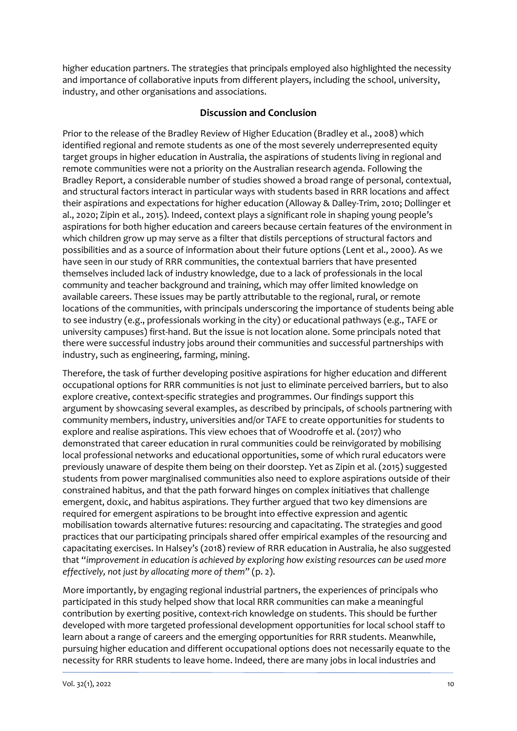higher education partners. The strategies that principals employed also highlighted the necessity and importance of collaborative inputs from different players, including the school, university, industry, and other organisations and associations.

#### **Discussion and Conclusion**

Prior to the release of the Bradley Review of Higher Education (Bradley et al., 2008) which identified regional and remote students as one of the most severely underrepresented equity target groups in higher education in Australia, the aspirations of students living in regional and remote communities were not a priority on the Australian research agenda. Following the Bradley Report, a considerable number of studies showed a broad range of personal, contextual, and structural factors interact in particular ways with students based in RRR locations and affect their aspirations and expectations for higher education (Alloway & Dalley-Trim, 2010; Dollinger et al., 2020; Zipin et al., 2015). Indeed, context plays a significant role in shaping young people's aspirations for both higher education and careers because certain features of the environment in which children grow up may serve as a filter that distils perceptions of structural factors and possibilities and as a source of information about their future options (Lent et al., 2000). As we have seen in our study of RRR communities, the contextual barriers that have presented themselves included lack of industry knowledge, due to a lack of professionals in the local community and teacher background and training, which may offer limited knowledge on available careers. These issues may be partly attributable to the regional, rural, or remote locations of the communities, with principals underscoring the importance of students being able to see industry (e.g., professionals working in the city) or educational pathways (e.g., TAFE or university campuses) first-hand. But the issue is not location alone. Some principals noted that there were successful industry jobs around their communities and successful partnerships with industry, such as engineering, farming, mining.

Therefore, the task of further developing positive aspirations for higher education and different occupational options for RRR communities is not just to eliminate perceived barriers, but to also explore creative, context-specific strategies and programmes. Our findings support this argument by showcasing several examples, as described by principals, of schools partnering with community members, industry, universities and/or TAFE to create opportunities for students to explore and realise aspirations. This view echoes that of Woodroffe et al. (2017) who demonstrated that career education in rural communities could be reinvigorated by mobilising local professional networks and educational opportunities, some of which rural educators were previously unaware of despite them being on their doorstep. Yet as Zipin et al. (2015) suggested students from power marginalised communities also need to explore aspirations outside of their constrained habitus, and that the path forward hinges on complex initiatives that challenge emergent, doxic, and habitus aspirations. They further argued that two key dimensions are required for emergent aspirations to be brought into effective expression and agentic mobilisation towards alternative futures: resourcing and capacitating. The strategies and good practices that our participating principals shared offer empirical examples of the resourcing and capacitating exercises. In Halsey's (2018) review of RRR education in Australia, he also suggested that "*improvement in education is achieved by exploring how existing resources can be used more effectively, not just by allocating more of them"* (p. 2).

More importantly, by engaging regional industrial partners, the experiences of principals who participated in this study helped show that local RRR communities can make a meaningful contribution by exerting positive, context-rich knowledge on students. This should be further developed with more targeted professional development opportunities for local school staff to learn about a range of careers and the emerging opportunities for RRR students. Meanwhile, pursuing higher education and different occupational options does not necessarily equate to the necessity for RRR students to leave home. Indeed, there are many jobs in local industries and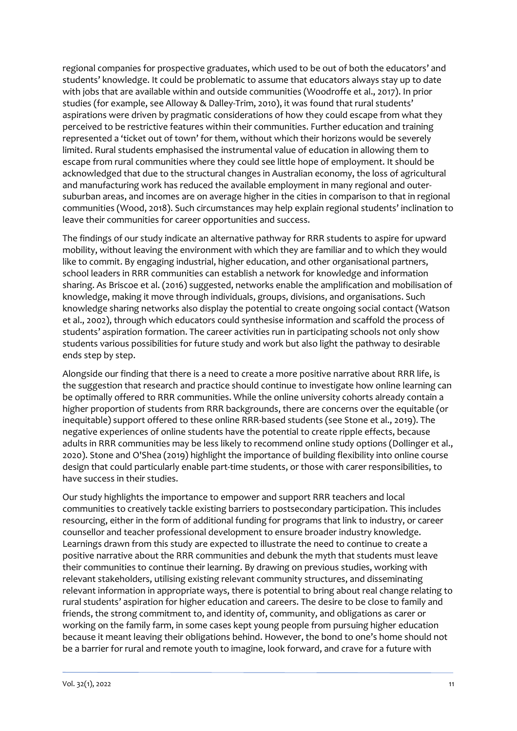regional companies for prospective graduates, which used to be out of both the educators' and students' knowledge. It could be problematic to assume that educators always stay up to date with jobs that are available within and outside communities (Woodroffe et al., 2017). In prior studies (for example, see Alloway & Dalley-Trim, 2010), it was found that rural students' aspirations were driven by pragmatic considerations of how they could escape from what they perceived to be restrictive features within their communities. Further education and training represented a 'ticket out of town' for them, without which their horizons would be severely limited. Rural students emphasised the instrumental value of education in allowing them to escape from rural communities where they could see little hope of employment. It should be acknowledged that due to the structural changes in Australian economy, the loss of agricultural and manufacturing work has reduced the available employment in many regional and outersuburban areas, and incomes are on average higher in the cities in comparison to that in regional communities (Wood, 2018). Such circumstances may help explain regional students' inclination to leave their communities for career opportunities and success.

The findings of our study indicate an alternative pathway for RRR students to aspire for upward mobility, without leaving the environment with which they are familiar and to which they would like to commit. By engaging industrial, higher education, and other organisational partners, school leaders in RRR communities can establish a network for knowledge and information sharing. As Briscoe et al. (2016) suggested, networks enable the amplification and mobilisation of knowledge, making it move through individuals, groups, divisions, and organisations. Such knowledge sharing networks also display the potential to create ongoing social contact (Watson et al., 2002), through which educators could synthesise information and scaffold the process of students' aspiration formation. The career activities run in participating schools not only show students various possibilities for future study and work but also light the pathway to desirable ends step by step.

Alongside our finding that there is a need to create a more positive narrative about RRR life, is the suggestion that research and practice should continue to investigate how online learning can be optimally offered to RRR communities. While the online university cohorts already contain a higher proportion of students from RRR backgrounds, there are concerns over the equitable (or inequitable) support offered to these online RRR-based students (see Stone et al., 2019). The negative experiences of online students have the potential to create ripple effects, because adults in RRR communities may be less likely to recommend online study options (Dollinger et al., 2020). Stone and O'Shea (2019) highlight the importance of building flexibility into online course design that could particularly enable part-time students, or those with carer responsibilities, to have success in their studies.

Our study highlights the importance to empower and support RRR teachers and local communities to creatively tackle existing barriers to postsecondary participation. This includes resourcing, either in the form of additional funding for programs that link to industry, or career counsellor and teacher professional development to ensure broader industry knowledge. Learnings drawn from this study are expected to illustrate the need to continue to create a positive narrative about the RRR communities and debunk the myth that students must leave their communities to continue their learning. By drawing on previous studies, working with relevant stakeholders, utilising existing relevant community structures, and disseminating relevant information in appropriate ways, there is potential to bring about real change relating to rural students' aspiration for higher education and careers. The desire to be close to family and friends, the strong commitment to, and identity of, community, and obligations as carer or working on the family farm, in some cases kept young people from pursuing higher education because it meant leaving their obligations behind. However, the bond to one's home should not be a barrier for rural and remote youth to imagine, look forward, and crave for a future with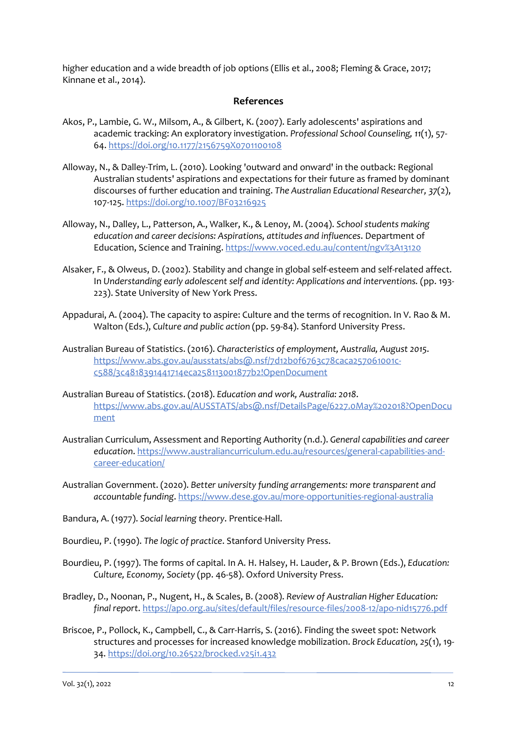higher education and a wide breadth of job options (Ellis et al., 2008; Fleming & Grace, 2017; Kinnane et al., 2014).

#### **References**

- Akos, P., Lambie, G. W., Milsom, A., & Gilbert, K. (2007). Early adolescents' aspirations and academic tracking: An exploratory investigation. *Professional School Counseling, 11*(1), 57- 64. <https://doi.org/10.1177/2156759X0701100108>
- Alloway, N., & Dalley-Trim, L. (2010). Looking 'outward and onward' in the outback: Regional Australian students' aspirations and expectations for their future as framed by dominant discourses of further education and training. *The Australian Educational Researcher, 37*(2), 107-125[. https://doi.org/10.1007/BF03216925](https://doi.org/10.1007/BF03216925)
- Alloway, N., Dalley, L., Patterson, A., Walker, K., & Lenoy, M. (2004). *School students making education and career decisions: Aspirations, attitudes and influences*. Department of Education, Science and Training. <https://www.voced.edu.au/content/ngv%3A13120>
- Alsaker, F., & Olweus, D. (2002). Stability and change in global self-esteem and self-related affect. In *Understanding early adolescent self and identity: Applications and interventions.* (pp. 193- 223). State University of New York Press.
- Appadurai, A. (2004). The capacity to aspire: Culture and the terms of recognition. In V. Rao & M. Walton (Eds.), *Culture and public action* (pp. 59-84). Stanford University Press.
- Australian Bureau of Statistics. (2016). *Characteristics of employment, Australia, August 2015*. [https://www.abs.gov.au/ausstats/abs@.nsf/7d12b0f6763c78caca257061001c](https://www.abs.gov.au/ausstats/abs@.nsf/7d12b0f6763c78caca257061001c-c588/3c4818391441714eca258113001877b2!OpenDocument)[c588/3c4818391441714eca258113001877b2!OpenDocument](https://www.abs.gov.au/ausstats/abs@.nsf/7d12b0f6763c78caca257061001c-c588/3c4818391441714eca258113001877b2!OpenDocument)
- Australian Bureau of Statistics. (2018). *Education and work, Australia: 2018*. [https://www.abs.gov.au/AUSSTATS/abs@.nsf/DetailsPage/6227.0May%202018?OpenDocu](https://www.abs.gov.au/AUSSTATS/abs@.nsf/DetailsPage/6227.0May%202018?OpenDocument) [ment](https://www.abs.gov.au/AUSSTATS/abs@.nsf/DetailsPage/6227.0May%202018?OpenDocument)
- Australian Curriculum, Assessment and Reporting Authority (n.d.). *General capabilities and career education*. [https://www.australiancurriculum.edu.au/resources/general-capabilities-and](https://www.australiancurriculum.edu.au/resources/general-capabilities-and-career-education/)[career-education/](https://www.australiancurriculum.edu.au/resources/general-capabilities-and-career-education/)
- Australian Government. (2020). *Better university funding arrangements: more transparent and accountable funding*[. https://www.dese.gov.au/more-opportunities-regional-australia](https://www.dese.gov.au/more-opportunities-regional-australia)
- Bandura, A. (1977). *Social learning theory*. Prentice-Hall.
- Bourdieu, P. (1990). *The logic of practice*. Stanford University Press.
- Bourdieu, P. (1997). The forms of capital. In A. H. Halsey, H. Lauder, & P. Brown (Eds.), *Education: Culture, Economy, Society* (pp. 46-58). Oxford University Press.
- Bradley, D., Noonan, P., Nugent, H., & Scales, B. (2008). *Review of Australian Higher Education: final report*.<https://apo.org.au/sites/default/files/resource-files/2008-12/apo-nid15776.pdf>
- Briscoe, P., Pollock, K., Campbell, C., & Carr-Harris, S. (2016). Finding the sweet spot: Network structures and processes for increased knowledge mobilization. *Brock Education, 25*(1), 19- 34[. https://doi.org/10.26522/brocked.v25i1.432](https://doi.org/10.26522/brocked.v25i1.432)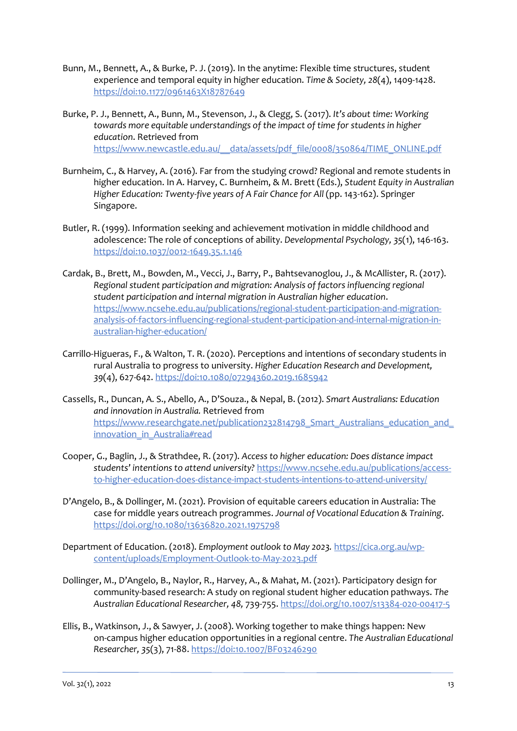- Bunn, M., Bennett, A., & Burke, P. J. (2019). In the anytime: Flexible time structures, student experience and temporal equity in higher education. *Time & Society, 28*(4), 1409-1428. <https://doi:10.1177/0961463X18787649>
- Burke, P. J., Bennett, A., Bunn, M., Stevenson, J., & Clegg, S. (2017). *It's about time: Working towards more equitable understandings of the impact of time for students in higher education*. Retrieved from [https://www.newcastle.edu.au/\\_\\_data/assets/pdf\\_file/0008/350864/TIME\\_ONLINE.pdf](https://www.newcastle.edu.au/__data/assets/pdf_file/0008/350864/TIME_ONLINE.pdf)
- Burnheim, C., & Harvey, A. (2016). Far from the studying crowd? Regional and remote students in higher education. In A. Harvey, C. Burnheim, & M. Brett (Eds.), *Student Equity in Australian Higher Education: Twenty-five years of A Fair Chance for All* (pp. 143-162). Springer Singapore.
- Butler, R. (1999). Information seeking and achievement motivation in middle childhood and adolescence: The role of conceptions of ability. *Developmental Psychology, 35*(1), 146-163. <https://doi:10.1037/0012-1649.35.1.146>
- Cardak, B., Brett, M., Bowden, M., Vecci, J., Barry, P., Bahtsevanoglou, J., & McAllister, R. (2017). *Regional student participation and migration: Analysis of factors influencing regional student participation and internal migration in Australian higher education*. [https://www.ncsehe.edu.au/publications/regional-student-participation-and-migration](https://www.ncsehe.edu.au/publications/regional-student-participation-and-migration-analysis-of-factors-influencing-regional-student-participation-and-internal-migration-in-australian-higher-education/)[analysis-of-factors-influencing-regional-student-participation-and-internal-migration-in](https://www.ncsehe.edu.au/publications/regional-student-participation-and-migration-analysis-of-factors-influencing-regional-student-participation-and-internal-migration-in-australian-higher-education/)[australian-higher-education/](https://www.ncsehe.edu.au/publications/regional-student-participation-and-migration-analysis-of-factors-influencing-regional-student-participation-and-internal-migration-in-australian-higher-education/)
- Carrillo-Higueras, F., & Walton, T. R. (2020). Perceptions and intentions of secondary students in rural Australia to progress to university. *Higher Education Research and Development, 39*(4), 627-642.<https://doi:10.1080/07294360.2019.1685942>
- Cassells, R., Duncan, A. S., Abello, A., D'Souza., & Nepal, B. (2012). *Smart Australians: Education and innovation in Australia.* Retrieved from https://www.researchgate.net/publication232814798\_Smart\_Australians\_education\_and [innovation\\_in\\_Australia#read](https://www.researchgate.net/publication232814798_Smart_Australians_education_and_innovation_in_Australia#read)
- Cooper, G., Baglin, J., & Strathdee, R. (2017). *Access to higher education: Does distance impact students' intentions to attend university?* [https://www.ncsehe.edu.au/publications/access](https://www.ncsehe.edu.au/publications/access-to-higher-education-does-distance-impact-students-intentions-to-attend-university/)[to-higher-education-does-distance-impact-students-intentions-to-attend-university/](https://www.ncsehe.edu.au/publications/access-to-higher-education-does-distance-impact-students-intentions-to-attend-university/)
- D'Angelo, B., & Dollinger, M. (2021). Provision of equitable careers education in Australia: The case for middle years outreach programmes. *Journal of Vocational Education & Training*. <https://doi.org/10.1080/13636820.2021.1975798>
- Department of Education. (2018). *Employment outlook to May 2023.* [https://cica.org.au/wp](https://cica.org.au/wp-content/uploads/Employment-Outlook-to-May-2023.pdf)[content/uploads/Employment-Outlook-to-May-2023.pdf](https://cica.org.au/wp-content/uploads/Employment-Outlook-to-May-2023.pdf)
- Dollinger, M., D'Angelo, B., Naylor, R., Harvey, A., & Mahat, M. (2021). Participatory design for community-based research: A study on regional student higher education pathways. *The Australian Educational Researcher, 48,* 739-755.<https://doi.org/10.1007/s13384-020-00417-5>
- Ellis, B., Watkinson, J., & Sawyer, J. (2008). Working together to make things happen: New on-campus higher education opportunities in a regional centre. *The Australian Educational Researcher, 35*(3), 71-88[. https://doi:10.1007/BF03246290](https://doi:10.1007/BF03246290)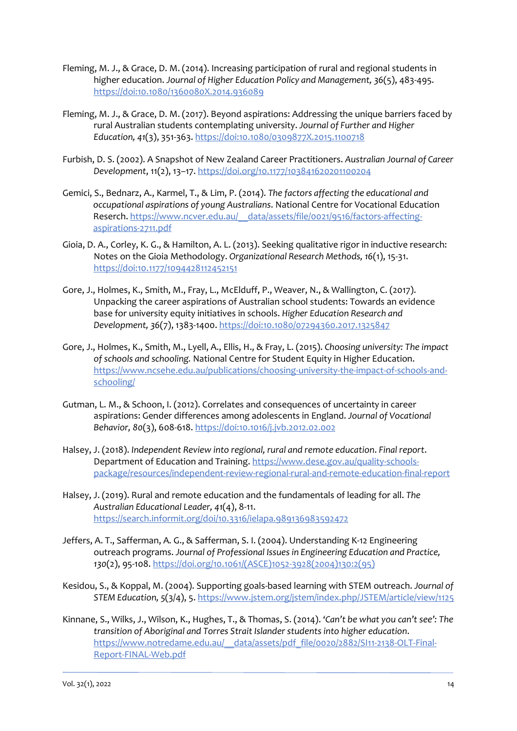- Fleming, M. J., & Grace, D. M. (2014). Increasing participation of rural and regional students in higher education. *Journal of Higher Education Policy and Management, 36*(5), 483-495. <https://doi:10.1080/1360080X.2014.936089>
- Fleming, M. J., & Grace, D. M. (2017). Beyond aspirations: Addressing the unique barriers faced by rural Australian students contemplating university. *Journal of Further and Higher Education, 41*(3), 351-363.<https://doi:10.1080/0309877X.2015.1100718>
- Furbish, D. S. (2002). A Snapshot of New Zealand Career Practitioners. *Australian Journal of Career Development*, 11(2), 13–17.<https://doi.org/10.1177/103841620201100204>
- Gemici, S., Bednarz, A., Karmel, T., & Lim, P. (2014). *The factors affecting the educational and occupational aspirations of young Australians*. National Centre for Vocational Education Reserch. [https://www.ncver.edu.au/\\_\\_data/assets/file/0021/9516/factors-affecting](https://www.ncver.edu.au/__data/assets/file/0021/9516/factors-affecting-aspirations-2711.pdf)[aspirations-2711.pdf](https://www.ncver.edu.au/__data/assets/file/0021/9516/factors-affecting-aspirations-2711.pdf)
- Gioia, D. A., Corley, K. G., & Hamilton, A. L. (2013). Seeking qualitative rigor in inductive research: Notes on the Gioia Methodology. *Organizational Research Methods, 16*(1), 15-31. <https://doi:10.1177/1094428112452151>
- Gore, J., Holmes, K., Smith, M., Fray, L., McElduff, P., Weaver, N., & Wallington, C. (2017). Unpacking the career aspirations of Australian school students: Towards an evidence base for university equity initiatives in schools. *Higher Education Research and Development, 36*(7), 1383-1400[. https://doi:10.1080/07294360.2017.1325847](https://doi:10.1080/07294360.2017.1325847)
- Gore, J., Holmes, K., Smith, M., Lyell, A., Ellis, H., & Fray, L. (2015). *Choosing university: The impact of schools and schooling.* National Centre for Student Equity in Higher Education. [https://www.ncsehe.edu.au/publications/choosing-university-the-impact-of-schools-and](https://www.ncsehe.edu.au/publications/choosing-university-the-impact-of-schools-and-schooling/)[schooling/](https://www.ncsehe.edu.au/publications/choosing-university-the-impact-of-schools-and-schooling/)
- Gutman, L. M., & Schoon, I. (2012). Correlates and consequences of uncertainty in career aspirations: Gender differences among adolescents in England. *Journal of Vocational Behavior, 80*(3), 608-618.<https://doi:10.1016/j.jvb.2012.02.002>
- Halsey, J. (2018). *Independent Review into regional, rural and remote education*. *Final report*. Department of Education and Training. [https://www.dese.gov.au/quality-schools](https://www.dese.gov.au/quality-schools-package/resources/independent-review-regional-rural-and-remote-education-final-report)[package/resources/independent-review-regional-rural-and-remote-education-final-report](https://www.dese.gov.au/quality-schools-package/resources/independent-review-regional-rural-and-remote-education-final-report)
- Halsey, J. (2019). Rural and remote education and the fundamentals of leading for all. *The Australian Educational Leader, 41*(4), 8-11. <https://search.informit.org/doi/10.3316/ielapa.989136983592472>
- Jeffers, A. T., Safferman, A. G., & Safferman, S. I. (2004). Understanding K-12 Engineering outreach programs. *Journal of Professional Issues in Engineering Education and Practice, 130*(2), 95-108. [https://doi.org/10.1061/\(ASCE\)1052-3928\(2004\)130:2\(95\)](https://doi.org/10.1061/(ASCE)1052-3928(2004)130:2(95))
- Kesidou, S., & Koppal, M. (2004). Supporting goals-based learning with STEM outreach. *Journal of STEM Education, 5*(3/4), 5. <https://www.jstem.org/jstem/index.php/JSTEM/article/view/1125>
- Kinnane, S., Wilks, J., Wilson, K., Hughes, T., & Thomas, S. (2014). *'Can't be what you can't see': The transition of Aboriginal and Torres Strait Islander students into higher education*. https://www.notredame.edu.au/\_\_data/assets/pdf\_file/0020/2882/SI11-2138-OLT-Final-Report-FINAL-Web.pdf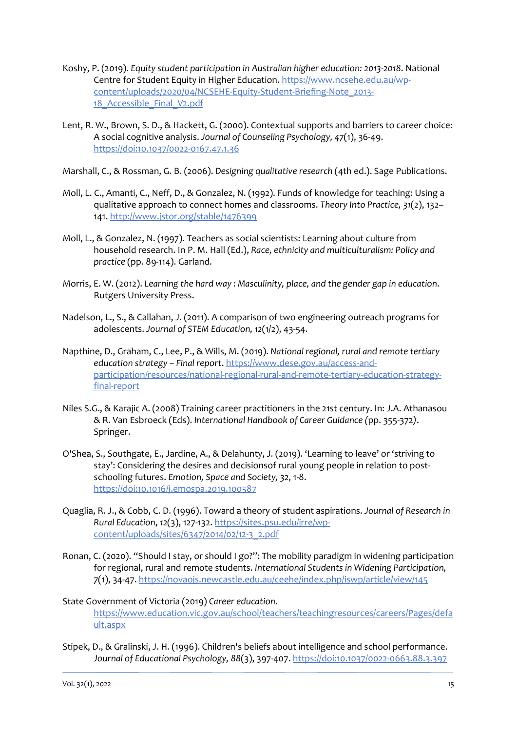- Koshy, P. (2019). *Equity student participation in Australian higher education: 2013-2018*. National Centre for Student Equity in Higher Education. [https://www.ncsehe.edu.au/wp](https://www.ncsehe.edu.au/wp-content/uploads/2020/04/NCSEHE-Equity-Student-Briefing-Note_2013-18_Accessible_Final_V2.pdf)[content/uploads/2020/04/NCSEHE-Equity-Student-Briefing-Note\\_2013-](https://www.ncsehe.edu.au/wp-content/uploads/2020/04/NCSEHE-Equity-Student-Briefing-Note_2013-18_Accessible_Final_V2.pdf) 18 Accessible Final V2.pdf
- Lent, R. W., Brown, S. D., & Hackett, G. (2000). Contextual supports and barriers to career choice: A social cognitive analysis. *Journal of Counseling Psychology, 47*(1), 36-49. <https://doi:10.1037/0022-0167.47.1.36>
- Marshall, C., & Rossman, G. B. (2006). *Designing qualitative research* (4th ed.). Sage Publications.
- Moll, L. C., Amanti, C., Neff, D., & Gonzalez, N. (1992). Funds of knowledge for teaching: Using a qualitative approach to connect homes and classrooms. *Theory Into Practice, 31*(2), 132– 141[. http://www.jstor.org/stable/1476399](https://us-east-2.protection.sophos.com/?d=jstor.org&u=aHR0cDovL3d3dy5qc3Rvci5vcmcvc3RhYmxlLzE0NzYzOTk=&i=NjAxOGFhNTBjOTMxYzEyYzNhNGJhNGFh&t=MWJsSnhsVWtoTHR2bmRYSzVhamxPM0FuWE1teXdtMGxiMkhaVmJpWlo1RT0=&h=8e77ee0877e64dccb8037039c9f3118a)
- Moll, L., & Gonzalez, N. (1997). Teachers as social scientists: Learning about culture from household research. In P. M. Hall (Ed.), *Race, ethnicity and multiculturalism: Policy and practice* (pp. 89-114). Garland.
- Morris, E. W. (2012). *Learning the hard way : Masculinity, place, and the gender gap in education*. Rutgers University Press.
- Nadelson, L., S., & Callahan, J. (2011). A comparison of two engineering outreach programs for adolescents. *Journal of STEM Education, 12*(1/2), 43-54.
- Napthine, D., Graham, C., Lee, P., & Wills, M. (2019). *National regional, rural and remote tertiary education strategy – Final report*[. https://www.dese.gov.au/access-and](https://www.dese.gov.au/access-and-participation/resources/national-regional-rural-and-remote-tertiary-education-strategy-final-report)[participation/resources/national-regional-rural-and-remote-tertiary-education-strategy](https://www.dese.gov.au/access-and-participation/resources/national-regional-rural-and-remote-tertiary-education-strategy-final-report)[final-report](https://www.dese.gov.au/access-and-participation/resources/national-regional-rural-and-remote-tertiary-education-strategy-final-report)
- Niles S.G., & Karajic A. (2008) Training career practitioners in the 21st century. In: J.A. Athanasou & R. Van Esbroeck (Eds). *International Handbook of Career Guidance (*pp. 355-372*)*. Springer.
- O'Shea, S., Southgate, E., Jardine, A., & Delahunty, J. (2019). 'Learning to leave' or 'striving to stay': Considering the desires and decisionsof rural young people in relation to postschooling futures. *Emotion, Space and Society, 32*, 1-8. <https://doi:10.1016/j.emospa.2019.100587>
- Quaglia, R. J., & Cobb, C. D. (1996). Toward a theory of student aspirations. *Journal of Research in Rural Education*, *12*(3), 127-132. [https://sites.psu.edu/jrre/wp](https://sites.psu.edu/jrre/wp-content/uploads/sites/6347/2014/02/12-3_2.pdf)[content/uploads/sites/6347/2014/02/12-3\\_2.pdf](https://sites.psu.edu/jrre/wp-content/uploads/sites/6347/2014/02/12-3_2.pdf)
- Ronan, C. (2020). "Should I stay, or should I go?": The mobility paradigm in widening participation for regional, rural and remote students. *International Students in Widening Participation, 7*(1), 34-47.<https://novaojs.newcastle.edu.au/ceehe/index.php/iswp/article/view/145>
- State Government of Victoria (2019) *Career education*. [https://www.education.vic.gov.au/school/teachers/teachingresources/careers/Pages/defa](https://www.education.vic.gov.au/school/teachers/teachingresources/careers/Pages/default.aspx) [ult.aspx](https://www.education.vic.gov.au/school/teachers/teachingresources/careers/Pages/default.aspx)
- Stipek, D., & Gralinski, J. H. (1996). Children's beliefs about intelligence and school performance. *Journal of Educational Psychology, 88*(3), 397-407.<https://doi:10.1037/0022-0663.88.3.397>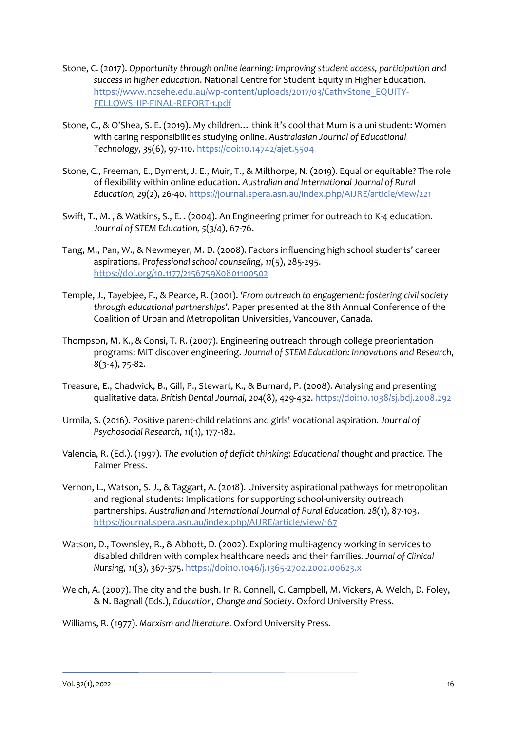- Stone, C. (2017). *Opportunity through online learning: Improving student access, participation and success in higher education*. National Centre for Student Equity in Higher Education. [https://www.ncsehe.edu.au/wp-content/uploads/2017/03/CathyStone\\_EQUITY-](https://www.ncsehe.edu.au/wp-content/uploads/2017/03/CathyStone_EQUITY-FELLOWSHIP-FINAL-REPORT-1.pdf)[FELLOWSHIP-FINAL-REPORT-1.pdf](https://www.ncsehe.edu.au/wp-content/uploads/2017/03/CathyStone_EQUITY-FELLOWSHIP-FINAL-REPORT-1.pdf)
- Stone, C., & O'Shea, S. E. (2019). My children… think it's cool that Mum is a uni student: Women with caring responsibilities studying online. *Australasian Journal of Educational Technology, 35*(6), 97-110.<https://doi:10.14742/ajet.5504>
- Stone, C., Freeman, E., Dyment, J. E., Muir, T., & Milthorpe, N. (2019). Equal or equitable? The role of flexibility within online education. *Australian and International Journal of Rural Education, 29*(2), 26-40[. https://journal.spera.asn.au/index.php/AIJRE/article/view/221](https://journal.spera.asn.au/index.php/AIJRE/article/view/221)
- Swift, T., M. , & Watkins, S., E. . (2004). An Engineering primer for outreach to K-4 education. *Journal of STEM Education, 5*(3/4), 67-76.
- Tang, M., Pan, W., & Newmeyer, M. D. (2008). Factors influencing high school students' career aspirations. *Professional school counseling*, *11*(5), 285-295. <https://doi.org/10.1177/2156759X0801100502>
- Temple, J., Tayebjee, F., & Pearce, R. (2001). *'From outreach to engagement: fostering civil society through educational partnerships'.* Paper presented at the 8th Annual Conference of the Coalition of Urban and Metropolitan Universities, Vancouver, Canada.
- Thompson, M. K., & Consi, T. R. (2007). Engineering outreach through college preorientation programs: MIT discover engineering. *Journal of STEM Education: Innovations and Research*, *8*(3-4), 75-82.
- Treasure, E., Chadwick, B., Gill, P., Stewart, K., & Burnard, P. (2008). Analysing and presenting qualitative data. *British Dental Journal, 204*(8), 429-432.<https://doi:10.1038/sj.bdj.2008.292>
- Urmila, S. (2016). Positive parent-child relations and girls' vocational aspiration. *Journal of Psychosocial Research, 11*(1), 177-182.
- Valencia, R. (Ed.). (1997). *The evolution of deficit thinking: Educational thought and practice.* The Falmer Press.
- Vernon, L., Watson, S. J., & Taggart, A. (2018). University aspirational pathways for metropolitan and regional students: Implications for supporting school-university outreach partnerships. *Australian and International Journal of Rural Education, 28*(1), 87-103. <https://journal.spera.asn.au/index.php/AIJRE/article/view/167>
- Watson, D., Townsley, R., & Abbott, D. (2002). Exploring multi-agency working in services to disabled children with complex healthcare needs and their families. *Journal of Clinical Nursing, 11*(3), 367-375.<https://doi:10.1046/j.1365-2702.2002.00623.x>
- Welch, A. (2007). The city and the bush. In R. Connell, C. Campbell, M. Vickers, A. Welch, D. Foley, & N. Bagnall (Eds.), *Education, Change and Society*. Oxford University Press.
- Williams, R. (1977). *Marxism and literature*. Oxford University Press.